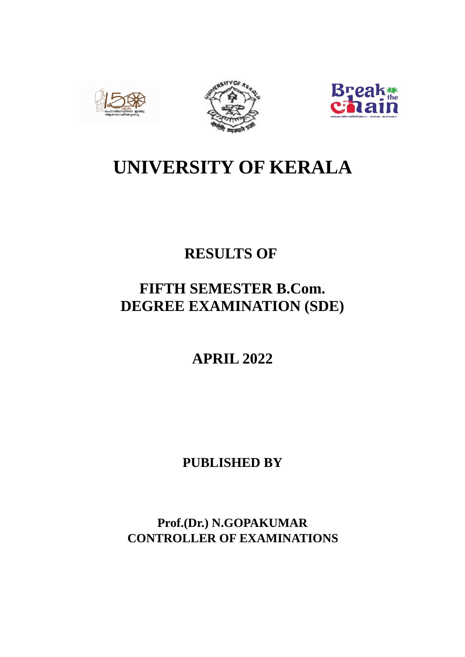





# **UNIVERSITY OF KERALA**

# **RESULTS OF**

# **FIFTH SEMESTER B.Com. DEGREE EXAMINATION (SDE)**

**APRIL 2022**

**PUBLISHED BY**

**Prof.(Dr.) N.GOPAKUMAR CONTROLLER OF EXAMINATIONS**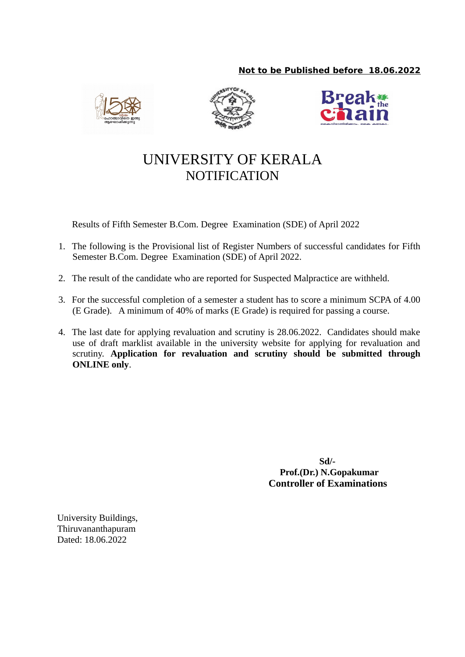## **Not to be Published before 18.06.2022**







# UNIVERSITY OF KERALA **NOTIFICATION**

Results of Fifth Semester B.Com. Degree Examination (SDE) of April 2022

- 1. The following is the Provisional list of Register Numbers of successful candidates for Fifth Semester B.Com. Degree Examination (SDE) of April 2022.
- 2. The result of the candidate who are reported for Suspected Malpractice are withheld.
- 3. For the successful completion of a semester a student has to score a minimum SCPA of 4.00 (E Grade). A minimum of 40% of marks (E Grade) is required for passing a course.
- 4. The last date for applying revaluation and scrutiny is 28.06.2022. Candidates should make use of draft marklist available in the university website for applying for revaluation and scrutiny. **Application for revaluation and scrutiny should be submitted through ONLINE only**.

 **Sd/- Prof.(Dr.) N.Gopakumar Controller of Examinations**

University Buildings, Thiruvananthapuram Dated: 18.06.2022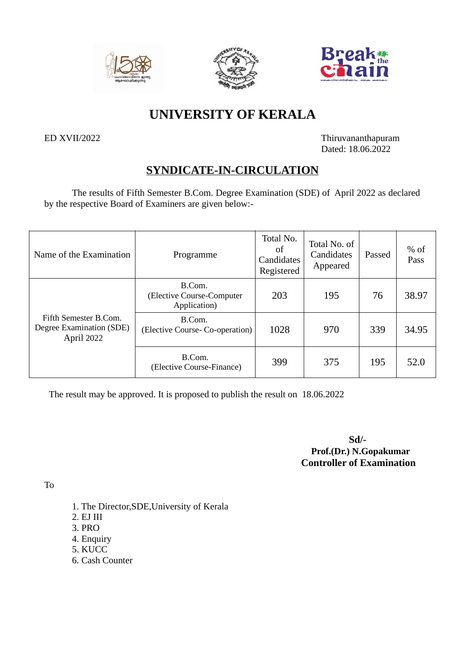





## **UNIVERSITY OF KERALA**

ED XVII/2022 Thiruvananthapuram Dated: 18.06.2022

## **SYNDICATE-IN-CIRCULATION**

The results of Fifth Semester B.Com. Degree Examination (SDE) of April 2022 as declared by the respective Board of Examiners are given below:-

| Name of the Examination                                         | Programme                                           | Total No.<br>of<br>Candidates<br>Registered | Total No. of<br>Candidates<br>Appeared | Passed | $%$ of<br>Pass |
|-----------------------------------------------------------------|-----------------------------------------------------|---------------------------------------------|----------------------------------------|--------|----------------|
|                                                                 | B.Com.<br>(Elective Course-Computer<br>Application) | 203                                         | 195                                    | 76     | 38.97          |
| Fifth Semester B.Com.<br>Degree Examination (SDE)<br>April 2022 | B.Com.<br>(Elective Course- Co-operation)           | 1028                                        | 970                                    | 339    | 34.95          |
|                                                                 | B.Com.<br>(Elective Course-Finance)                 | 399                                         | 375                                    | 195    | 52.0           |

The result may be approved. It is proposed to publish the result on 18.06.2022

**Sd/- Prof.(Dr.) N.Gopakumar Controller of Examination**

To

- 1. The Director,SDE,University of Kerala
- 2. EJ III
- 3. PRO
- 4. Enquiry
- 5. KUCC
- 6. Cash Counter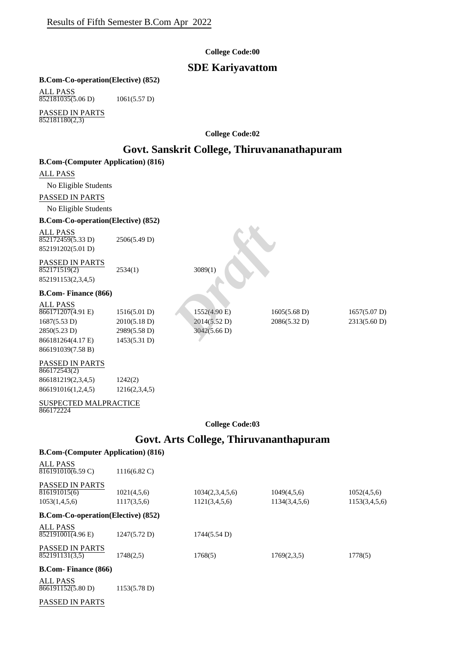#### **College Code:00**

## **SDE Kariyavattom**

#### **B.Com-Co-operation(Elective) (852)**

ALL PASS 852181035(5.06 D) 1061(5.57 D)

PASSED IN PARTS  $852181180(2,3)$ 

**College Code:02**

## **Govt. Sanskrit College, Thiruvananathapuram**

| <b>B.Com-(Computer Application) (816)</b>                                                                          |                                                              |                                              |                                        |                                        |
|--------------------------------------------------------------------------------------------------------------------|--------------------------------------------------------------|----------------------------------------------|----------------------------------------|----------------------------------------|
| ALL PASS                                                                                                           |                                                              |                                              |                                        |                                        |
| No Eligible Students                                                                                               |                                                              |                                              |                                        |                                        |
| PASSED IN PARTS                                                                                                    |                                                              |                                              |                                        |                                        |
| No Eligible Students                                                                                               |                                                              |                                              |                                        |                                        |
| <b>B.Com-Co-operation(Elective) (852)</b>                                                                          |                                                              |                                              |                                        |                                        |
| <b>ALL PASS</b><br>852172459(5.33 D)<br>852191202(5.01 D)<br>PASSED IN PARTS<br>852171519(2)<br>852191153(2,3,4,5) | 2506(5.49 D)<br>2534(1)                                      | 3089(1)                                      |                                        |                                        |
| <b>B.Com-Finance (866)</b>                                                                                         |                                                              |                                              |                                        |                                        |
| <b>ALL PASS</b><br>$866171207(4.91)$ E)<br>1687(5.53 D)<br>2850(5.23 D)<br>866181264(4.17 E)<br>866191039(7.58 B)  | 1516(5.01 D)<br>2010(5.18 D)<br>2989(5.58 D)<br>1453(5.31 D) | 1552(4.90 E)<br>2014(5.52 D)<br>3042(5.66 D) | $1605(5.68 \text{ D})$<br>2086(5.32 D) | $1657(5.07 \text{ D})$<br>2313(5.60 D) |
|                                                                                                                    |                                                              |                                              |                                        |                                        |

#### PASSED IN PARTS 866172543(2)

| 00011401014        |               |
|--------------------|---------------|
| 866181219(2,3,4,5) | 1242(2)       |
| 866191016(1,2,4,5) | 1216(2,3,4,5) |

#### SUSPECTED MALPRACTICE 866172224

#### **College Code:03**

## **Govt. Arts College, Thiruvananthapuram**

## **B.Com-(Computer Application) (816)** ALL PASS PASSED IN PARTS<br>816191015(6) **B.Com-Co-operation(Elective) (852)** ALL PASS PASSED IN PARTS **B.Com- Finance (866)** ALL PASS 816191010(6.59 C) 1116(6.82 C) 1021(4,5,6) 1034(2,3,4,5,6) 1049(4,5,6) 1052(4,5,6) 1153(1,4,5,6) 1117(3,5,6) 1121(3,4,5,6) 1134(3,4,5,6) 1153(3,4,5,6)  $852191001(4.96 \text{ E})$  1247(5.72 D) 1744(5.54 D) 852191131(3,5) 1748(2,5) 1768(5) 1769(2,3,5) 1778(5)  $\overline{866191152(5.80 \text{ D})}$  1153(5.78 D)

#### PASSED IN PARTS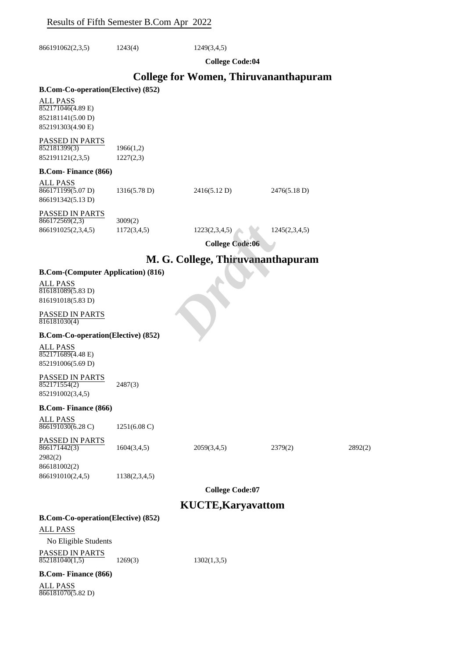866191062(2,3,5) 1243(4) 1249(3,4,5)

**College Code:04**

## **College for Women, Thiruvananthapuram**

#### **B.Com-Co-operation(Elective) (852)**

| ALL PASS          |  |
|-------------------|--|
| 852171046(4.89 E) |  |
| 852181141(5.00 D) |  |
| 852191303(4.90 E) |  |

## PASSED IN PARTS  $852181399(3)$  1966(1,2)

852191121(2,3,5) 1227(2,3)

#### **B.Com- Finance (866)**

| ALL PASS<br>866171199(5.07 D) | 1316(5.78 D) | 2416(5.12 D) | 2476(5.18 D) |
|-------------------------------|--------------|--------------|--------------|
| 866191342(5.13 D)             |              |              |              |

## PASSED IN PARTS

| 866172569(2,3)     | 3009(2) |
|--------------------|---------|
| 866191025(2,3,4,5) | 1172(3, |

 $(4,5)$  1223(2,3,4,5) 1245(2,3,4,5)

**College Code:06**

# **M. G. College, Thiruvananthapuram** <sup>1223(2,3,4,5)</sup><br>
College Code:06<br> **College, Thiruvananth:**

#### **B.Com-(Computer Application) (816)**

ALL PASS 816181089(5.83 D) 816191018(5.83 D)

#### PASSED IN PARTS  $816181030(4)$

#### **B.Com-Co-operation(Elective) (852)**

ALL PASS 852171689(4.48 E) 852191006(5.69 D)

## PASSED IN PARTS

852171554(2) 2487(3) 852191002(3,4,5)

#### **B.Com- Finance (866)**

| ALL PASS          |                        |
|-------------------|------------------------|
| 866191030(6.28 C) | $1251(6.08 \text{ C})$ |

| PASSED IN PARTS |  |
|-----------------|--|
| 866171442(3)    |  |

2982(2) 866181002(2) 866191010(2,4,5) 1138(2,3,4,5)

**College Code:07**

## **KUCTE,Karyavattom**

1604(3,4,5) 2059(3,4,5) 2379(2) 2892(2)

#### **B.Com-Co-operation(Elective) (852)**

## ALL PASS No Eligible Students PASSED IN PARTS

 $\overline{852181040(1,5)}$  1269(3) 1302(1,3,5)

#### **B.Com- Finance (866)**

ALL PASS  $866181070(5.82 D)$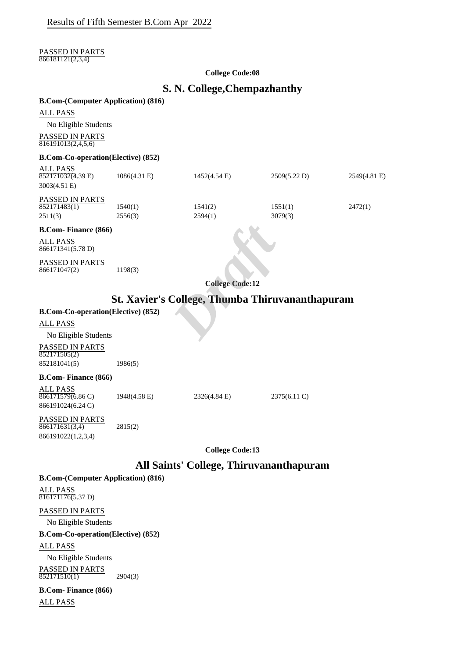#### PASSED IN PARTS  $866181121(2,3,4)$

#### **College Code:08**

## **S. N. College,Chempazhanthy**

#### **B.Com-(Computer Application) (816)**

No Eligible Students

PASSED IN PARTS  $\frac{816191013(2,4,5,6)}{816191013(2,4,5,6)}$ 

#### **B.Com-Co-operation(Elective) (852)**

| <b>ALL PASS</b><br>$852171032(4.39)$ E)   | $1086(4.31)$ E)    | 1452(4.54 E)                                           | 2509(5.22 D)       | 2549(4.81 E) |
|-------------------------------------------|--------------------|--------------------------------------------------------|--------------------|--------------|
| 3003(4.51 E)                              |                    |                                                        |                    |              |
| <b>PASSED IN PARTS</b>                    |                    |                                                        |                    |              |
| 852171483(1)<br>2511(3)                   | 1540(1)<br>2556(3) | 1541(2)<br>2594(1)                                     | 1551(1)<br>3079(3) | 2472(1)      |
|                                           |                    |                                                        |                    |              |
| <b>B.Com-Finance (866)</b>                |                    |                                                        |                    |              |
| <b>ALL PASS</b><br>866171341(5.78 D)      |                    |                                                        |                    |              |
| PASSED IN PARTS<br>866171047(2)           | 1198(3)            |                                                        |                    |              |
|                                           |                    | <b>College Code:12</b>                                 |                    |              |
|                                           |                    | <b>St. Xavier's College, Thumba Thiruvananthapuram</b> |                    |              |
| <b>B.Com-Co-operation(Elective) (852)</b> |                    |                                                        |                    |              |
| ALL PASS                                  |                    |                                                        |                    |              |
| No Eligible Students                      |                    |                                                        |                    |              |
| <b>PASSED IN PARTS</b>                    |                    |                                                        |                    |              |

## **St. Xavier's College, Thumba Thiruvananthapuram**

## **B.Com-Co-operation(Elective) (852)**

PASSED IN PARTS  $852171505(2)$ 852181041(5) 1986(5)

### **B.Com- Finance (866)**

ALL PASS 866171579(6.86 C) 1948(4.58 E) 2326(4.84 E) 2375(6.11 C)

866191024(6.24 C)

PASSED IN PARTS  $866171631(3,4)$  2815(2) 866191022(1,2,3,4)

**College Code:13**

## **All Saints' College, Thiruvananthapuram**

## **B.Com-(Computer Application) (816)**

ALL PASS 816171176(5.37 D)

#### PASSED IN PARTS

No Eligible Students

#### **B.Com-Co-operation(Elective) (852)**

ALL PASS

No Eligible Students

PASSED IN PARTS  $852171510(1)$  2904(3)

**B.Com- Finance (866)** ALL PASS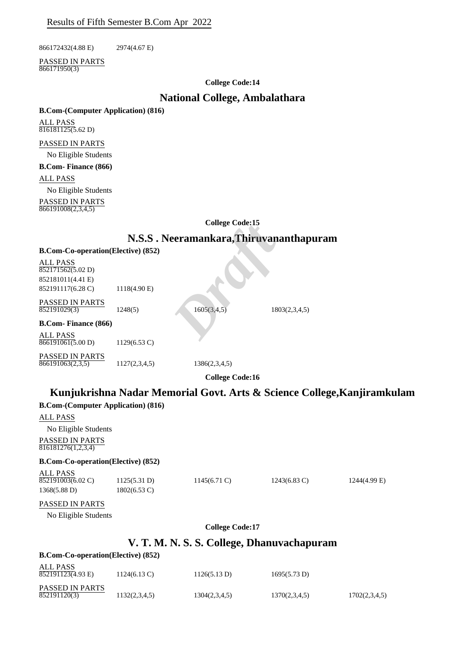866172432(4.88 E) 2974(4.67 E)

PASSED IN PARTS  $866171950(3)$ 

#### **College Code:14**

## **National College, Ambalathara**

#### **B.Com-(Computer Application) (816)**

ALL PASS  $816181125(5.62 D)$ 

#### PASSED IN PARTS

No Eligible Students

**B.Com- Finance (866)**

#### ALL PASS

No Eligible Students

PASSED IN PARTS 866191008(2,3,4,5)

#### **College Code:15**

## **N.S.S . Neeramankara,Thiruvananthapuram**

|                                             |                        | <b>Conege Code; 15</b>                  |               |
|---------------------------------------------|------------------------|-----------------------------------------|---------------|
|                                             |                        | N.S.S. Neeramankara, Thiruvananthapuram |               |
| <b>B.Com-Co-operation(Elective) (852)</b>   |                        |                                         |               |
| ALL PASS<br>$\overline{852171562(5.02)}$ D) |                        |                                         |               |
| 852181011(4.41 E)                           |                        |                                         |               |
| 852191117(6.28 C)                           | 1118(4.90 E)           |                                         |               |
| PASSED IN PARTS<br>852191029(3)             | 1248(5)                | 1605(3,4,5)                             | 1803(2,3,4,5) |
| <b>B.Com- Finance (866)</b>                 |                        |                                         |               |
| ALL PASS<br>866191061(5.00 D)               | $1129(6.53 \text{ C})$ |                                         |               |
| PASSED IN PARTS<br>866191063(2,3,5)         | 1127(2,3,4,5)          | 1386(2,3,4,5)                           |               |
|                                             |                        | <b>College Code:16</b>                  |               |
|                                             |                        |                                         |               |

## **Kunjukrishna Nadar Memorial Govt. Arts & Science College,Kanjiramkulam B.Com-(Computer Application) (816)**

## ALL PASS No Eligible Students PASSED IN PARTS **B.Com-Co-operation(Elective) (852)** ALL PASS PASSED IN PARTS No Eligible Students **College Code:17 V. T. M. N. S. S. College, Dhanuvachapuram B.Com-Co-operation(Elective) (852)** ALL PASS PASSED IN PARTS 816181276(1,2,3,4) 852191003(6.02 C) 1125(5.31 D) 1145(6.71 C) 1243(6.83 C) 1244(4.99 E) 1368(5.88 D) 1802(6.53 C)  $852191123(4.93 \text{ E})$  1124(6.13 C) 1126(5.13 D) 1695(5.73 D) 852191120(3) 1132(2,3,4,5) 1304(2,3,4,5) 1370(2,3,4,5) 1702(2,3,4,5)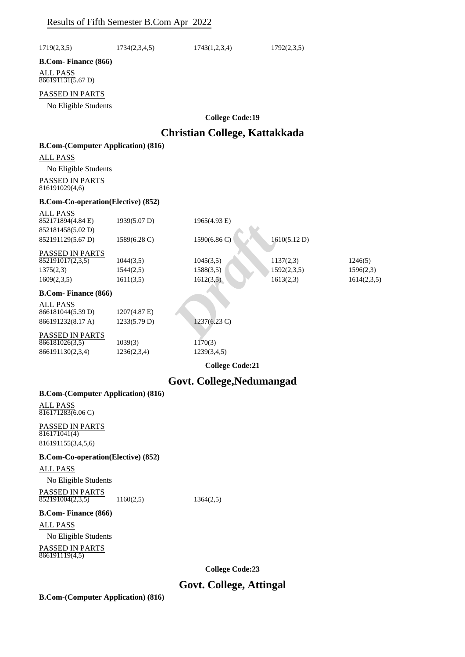| 1719(2,3,5)                                                  | 1734(2,3,4,5)          | 1743(1,2,3,4)                 | 1792(2,3,5)              |                      |
|--------------------------------------------------------------|------------------------|-------------------------------|--------------------------|----------------------|
| <b>B.Com-Finance (866)</b>                                   |                        |                               |                          |                      |
| <b>ALL PASS</b><br>866191131(5.67 D)                         |                        |                               |                          |                      |
| PASSED IN PARTS                                              |                        |                               |                          |                      |
| No Eligible Students                                         |                        |                               |                          |                      |
|                                                              |                        | <b>College Code:19</b>        |                          |                      |
|                                                              |                        | Christian College, Kattakkada |                          |                      |
| <b>B.Com-(Computer Application) (816)</b>                    |                        |                               |                          |                      |
| ALL PASS                                                     |                        |                               |                          |                      |
| No Eligible Students                                         |                        |                               |                          |                      |
| PASSED IN PARTS<br>816191029(4,6)                            |                        |                               |                          |                      |
| <b>B.Com-Co-operation(Elective) (852)</b>                    |                        |                               |                          |                      |
| ALL PASS<br>$852171894(4.84 \text{ E})$<br>852181458(5.02 D) | 1939(5.07 D)           | 1965(4.93 E)                  |                          |                      |
| 852191129(5.67 D)                                            | 1589(6.28 C)           | 1590(6.86 C                   | 1610(5.12 D)             |                      |
| PASSED IN PARTS                                              |                        |                               |                          |                      |
| 852191017(2,3,5)<br>1375(2,3)                                | 1044(3,5)<br>1544(2,5) | 1045(3,5)<br>1588(3,5)        | 1137(2,3)<br>1592(2,3,5) | 1246(5)<br>1596(2,3) |
| 1609(2,3,5)                                                  | 1611(3,5)              | 1612(3,5)                     | 1613(2,3)                | 1614(2,3,5)          |
| <b>B.Com-Finance (866)</b>                                   |                        |                               |                          |                      |
| ALL PASS                                                     |                        |                               |                          |                      |
| 866181044(5.39 D)                                            | 1207(4.87 E)           |                               |                          |                      |
| 866191232(8.17 A)                                            | 1233(5.79 D)           | 1237(6.23 C)                  |                          |                      |
| PASSED IN PARTS<br>866181026(3,5)                            | 1039(3)                | 1170(3)                       |                          |                      |
| 866191130(2,3,4)                                             | 1236(2,3,4)            | 1239(3,4,5)                   |                          |                      |
|                                                              |                        | <b>College Code:21</b>        |                          |                      |
|                                                              |                        | Govt. College, Nedumangad     |                          |                      |
| <b>B.Com-(Computer Application) (816)</b>                    |                        |                               |                          |                      |
| ALL PASS<br>$\overline{816171283(6.06 \text{ C})}$           |                        |                               |                          |                      |
| PASSED IN PARTS<br>$\overline{816171041(4)}$                 |                        |                               |                          |                      |
| 816191155(3,4,5,6)                                           |                        |                               |                          |                      |
| <b>B.Com-Co-operation(Elective) (852)</b>                    |                        |                               |                          |                      |
| ALL PASS                                                     |                        |                               |                          |                      |
| No Eligible Students                                         |                        |                               |                          |                      |
| PASSED IN PARTS<br>852191004(2,3,5)                          | 1160(2,5)              | 1364(2,5)                     |                          |                      |
| <b>B.Com-Finance (866)</b>                                   |                        |                               |                          |                      |
| ALL PASS                                                     |                        |                               |                          |                      |
| No Eligible Students                                         |                        |                               |                          |                      |
| PASSED IN PARTS<br>866191119(4,5)                            |                        |                               |                          |                      |
|                                                              |                        | <b>College Code:23</b>        |                          |                      |

## **Govt. College, Attingal**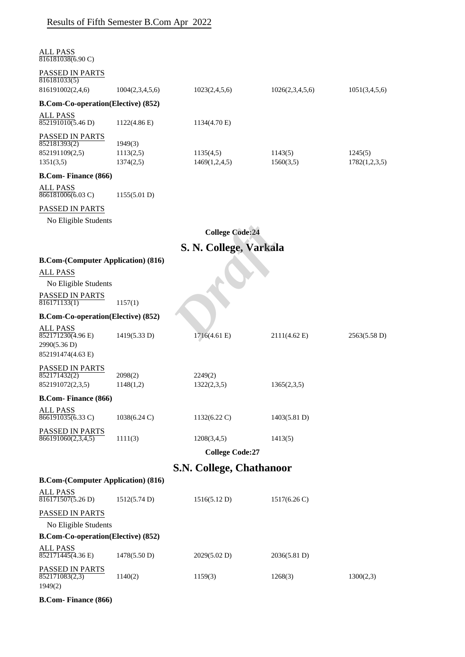| <b>ALL PASS</b><br>$816181038(6.90 \text{ C})$ |                        |                          |                        |               |
|------------------------------------------------|------------------------|--------------------------|------------------------|---------------|
| PASSED IN PARTS<br>816181033(5)                |                        |                          |                        |               |
| 816191002(2,4,6)                               | 1004(2,3,4,5,6)        | 1023(2,4,5,6)            | 1026(2,3,4,5,6)        | 1051(3,4,5,6) |
| <b>B.Com-Co-operation(Elective) (852)</b>      |                        |                          |                        |               |
| ALL PASS<br>852191010(5.46 D)                  | 1122(4.86 E)           | 1134(4.70 E)             |                        |               |
| PASSED IN PARTS<br>852181393(2)                |                        |                          |                        |               |
| 852191109(2,5)                                 | 1949(3)<br>1113(2,5)   | 1135(4,5)                | 1143(5)                | 1245(5)       |
| 1351(3,5)                                      | 1374(2,5)              | 1469(1,2,4,5)            | 1560(3,5)              | 1782(1,2,3,5) |
| <b>B.Com-Finance (866)</b>                     |                        |                          |                        |               |
| <b>ALL PASS</b><br>$866181006(6.03 \text{ C})$ | 1155(5.01 D)           |                          |                        |               |
| PASSED IN PARTS                                |                        |                          |                        |               |
| No Eligible Students                           |                        |                          |                        |               |
|                                                |                        | <b>College Code:24</b>   |                        |               |
|                                                |                        | S. N. College, Varkala   |                        |               |
| <b>B.Com-(Computer Application) (816)</b>      |                        |                          |                        |               |
| <b>ALL PASS</b>                                |                        |                          |                        |               |
| No Eligible Students                           |                        |                          |                        |               |
| PASSED IN PARTS<br>816171133(1)                | 1157(1)                |                          |                        |               |
| <b>B.Com-Co-operation(Elective) (852)</b>      |                        |                          |                        |               |
| <b>ALL PASS</b><br>852171230(4.96 E)           | 1419(5.33 D)           | 1716(4.61 E)             | $2111(4.62 \text{ E})$ | 2563(5.58 D)  |
| 2990(5.36 D)<br>852191474(4.63 E)              |                        |                          |                        |               |
| PASSED IN PARTS                                |                        |                          |                        |               |
| 852171432(2)                                   | 2098(2)                | 2249(2)                  |                        |               |
| 852191072(2,3,5)                               | 1148(1,2)              | 1322(2,3,5)              | 1365(2,3,5)            |               |
| <b>B.Com-Finance (866)</b>                     |                        |                          |                        |               |
| <b>ALL PASS</b><br>$866191035(6.33 \text{ C})$ | $1038(6.24 \text{ C})$ | $1132(6.22 \text{ C})$   | 1403(5.81 D)           |               |
| PASSED IN PARTS                                |                        |                          |                        |               |
| 866191060(2,3,4,5)                             | 1111(3)                | 1208(3,4,5)              | 1413(5)                |               |
|                                                |                        | <b>College Code:27</b>   |                        |               |
|                                                |                        | S.N. College, Chathanoor |                        |               |
| <b>B.Com-(Computer Application) (816)</b>      |                        |                          |                        |               |
| <b>ALL PASS</b><br>816171507(5.26 D)           | 1512(5.74 D)           | 1516(5.12 D)             | $1517(6.26 \text{ C})$ |               |
| PASSED IN PARTS                                |                        |                          |                        |               |
| No Eligible Students                           |                        |                          |                        |               |
| <b>B.Com-Co-operation(Elective) (852)</b>      |                        |                          |                        |               |
| <b>ALL PASS</b><br>$852171445(4.36 \text{ E})$ | 1478(5.50 D)           | 2029(5.02 D)             | 2036(5.81 D)           |               |
| PASSED IN PARTS<br>852171083(2,3)<br>1949(2)   | 1140(2)                | 1159(3)                  | 1268(3)                | 1300(2,3)     |

**B.Com- Finance (866)**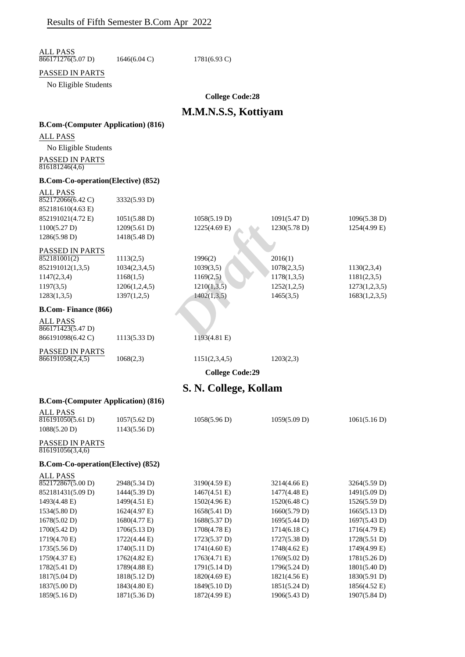ALL PASS 866171276(5.07 D) 1646(6.04 C) 1781(6.93 C)

## PASSED IN PARTS

No Eligible Students

**College Code:28**

## **M.M.N.S.S, Kottiyam**

## **B.Com-(Computer Application) (816)**

ALL PASS

ALL PASS

No Eligible Students PASSED IN PARTS  $\frac{1168888}{816181246(4,6)}$ 

#### **B.Com-Co-operation(Elective) (852)**

|                                            |               | <b>College Code:29</b> |              |               |
|--------------------------------------------|---------------|------------------------|--------------|---------------|
| <b>PASSED IN PARTS</b><br>866191058(2,4,5) | 1068(2,3)     | 1151(2,3,4,5)          | 1203(2,3)    |               |
| 866191098(6.42 C)                          | 1113(5.33 D)  | 1193(4.81 E)           |              |               |
| <b>ALL PASS</b><br>866171423(5.47 D)       |               |                        |              |               |
| <b>B.Com-Finance (866)</b>                 |               |                        |              |               |
| 1283(1,3,5)                                | 1397(1,2,5)   | 1402(1,3,5)            | 1465(3,5)    | 1683(1,2,3,5) |
| 1197(3,5)                                  | 1206(1,2,4,5) | 1210(1,3,5)            | 1252(1,2,5)  | 1273(1,2,3,5) |
| 1147(2,3,4)                                | 1168(1,5)     | 1169(2,5)              | 1178(1,3,5)  | 1181(2,3,5)   |
| 852191012(1,3,5)                           | 1034(2,3,4,5) | 1039(3,5)              | 1078(2,3,5)  | 1130(2,3,4)   |
| <b>PASSED IN PARTS</b><br>852181001(2)     | 1113(2,5)     | 1996(2)                | 2016(1)      |               |
| 1286(5.98 D)                               | 1418(5.48 D)  |                        |              |               |
| 1100(5.27 D)                               | 1209(5.61 D)  | $1225(4.69)$ E)        | 1230(5.78 D) | 1254(4.99 E)  |
| 852191021(4.72 E)                          | 1051(5.88 D)  | 1058(5.19 D)           | 1091(5.47 D) | 1096(5.38 D)  |
| 852181610(4.63 E)                          |               |                        |              |               |
| 852172066(6.42 C)                          | 3332(5.93 D)  |                        |              |               |

## **S. N. College, Kollam**

| <b>ALL PASS</b>                            |              |                        |                        |              |
|--------------------------------------------|--------------|------------------------|------------------------|--------------|
| 816191050(5.61 D)                          | 1057(5.62 D) | 1058(5.96 D)           | 1059(5.09 D)           | 1061(5.16 D) |
| 1088(5.20 D)                               | 1143(5.56 D) |                        |                        |              |
| <b>PASSED IN PARTS</b><br>816191056(3,4,6) |              |                        |                        |              |
| <b>B.Com-Co-operation(Elective) (852)</b>  |              |                        |                        |              |
| <b>ALL PASS</b>                            |              |                        |                        |              |
| 852172867(5.00 D)                          | 2948(5.34 D) | 3190(4.59 E)           | 3214(4.66 E)           | 3264(5.59 D) |
| 852181431(5.09 D)                          | 1444(5.39 D) | $1467(4.51)$ E)        | 1477(4.48 E)           | 1491(5.09 D) |
| 1493(4.48 E)                               | 1499(4.51 E) | 1502(4.96)             | 1520(6.48 C)           | 1526(5.59 D) |
| 1534(5.80 D)                               | 1624(4.97 E) | 1658(5.41 D)           | 1660(5.79 D)           | 1665(5.13 D) |
| 1678(5.02 D)                               | 1680(4.77 E) | 1688(5.37 D)           | 1695(5.44 D)           | 1697(5.43 D) |
| 1700(5.42 D)                               | 1706(5.13 D) | 1708(4.78 E)           | $1714(6.18 \text{ C})$ | 1716(4.79 E) |
| 1719(4.70 E)                               | 1722(4.44 E) | 1723(5.37 D)           | 1727(5.38 D)           | 1728(5.51 D) |
| 1735(5.56 D)                               | 1740(5.11 D) | $1741(4.60 \text{ E})$ | 1748(4.62 E)           | 1749(4.99 E) |
| 1759(4.37 E)                               | 1762(4.82 E) | $1763(4.71)$ E)        | 1769(5.02 D)           | 1781(5.26 D) |
| 1782(5.41 D)                               | 1789(4.88 E) | 1791(5.14 D)           | 1796(5.24 D)           | 1801(5.40 D) |
| $1817(5.04 \text{ D})$                     | 1818(5.12 D) | $1820(4.69)$ E)        | 1821(4.56 E)           | 1830(5.91 D) |
| 1837(5.00 D)                               | 1843(4.80 E) | 1849(5.10 D)           | 1851(5.24 D)           | 1856(4.52 E) |
| 1859(5.16 D)                               | 1871(5.36 D) | 1872(4.99 E)           | 1906(5.43 D)           | 1907(5.84 D) |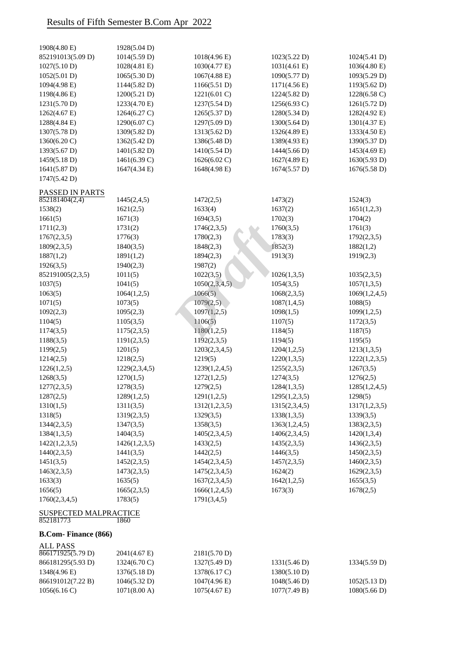| <b>ALL PASS</b><br>866171925(5.79 D)      | 2041(4.67 E)  | 2181(5.70 D)           |                        |               |
|-------------------------------------------|---------------|------------------------|------------------------|---------------|
| <b>B.Com-Finance (866)</b>                |               |                        |                        |               |
| <b>SUSPECTED MALPRACTICE</b><br>852181773 | 1860          |                        |                        |               |
| 1760(2,3,4,5)                             | 1783(5)       | 1791(3,4,5)            |                        |               |
| 1656(5)                                   | 1665(2,3,5)   | 1666(1,2,4,5)          | 1673(3)                | 1678(2,5)     |
| 1633(3)                                   | 1635(5)       | 1637(2,3,4,5)          | 1642(1,2,5)            | 1655(3,5)     |
| 1463(2,3,5)                               | 1473(2,3,5)   | 1475(2,3,4,5)          | 1624(2)                | 1629(2,3,5)   |
| 1451(3,5)                                 | 1452(2,3,5)   | 1454(2,3,4,5)          | 1457(2,3,5)            | 1460(2,3,5)   |
| 1440(2,3,5)                               | 1441(3,5)     | 1442(2,5)              | 1446(3,5)              | 1450(2,3,5)   |
| 1422(1,2,3,5)                             | 1426(1,2,3,5) | 1433(2,5)              | 1435(2,3,5)            | 1436(2,3,5)   |
| 1384(1,3,5)                               | 1404(3,5)     | 1405(2,3,4,5)          | 1406(2,3,4,5)          | 1420(1,3,4)   |
| 1344(2,3,5)                               | 1347(3,5)     | 1358(3,5)              | 1363(1,2,4,5)          | 1383(2,3,5)   |
| 1318(5)                                   | 1319(2,3,5)   | 1329(3,5)              | 1338(1,3,5)            | 1339(3,5)     |
| 1310(1,5)                                 | 1311(3,5)     | 1312(1,2,3,5)          | 1315(2,3,4,5)          | 1317(1,2,3,5) |
| 1287(2,5)                                 | 1289(1,2,5)   | 1291(1,2,5)            | 1295(1,2,3,5)          | 1298(5)       |
| 1277(2,3,5)                               | 1278(3,5)     | 1279(2,5)              | 1284(1,3,5)            | 1285(1,2,4,5) |
| 1268(3,5)                                 | 1270(1,5)     | 1272(1,2,5)            | 1274(3,5)              | 1276(2,5)     |
| 1226(1,2,5)                               | 1229(2,3,4,5) | 1239(1,2,4,5)          | 1255(2,3,5)            | 1267(3,5)     |
| 1214(2,5)                                 | 1218(2,5)     | 1219(5)                | 1220(1,3,5)            | 1222(1,2,3,5) |
| 1199(2,5)                                 | 1201(5)       | 1203(2,3,4,5)          | 1204(1,2,5)            | 1213(1,3,5)   |
| 1188(3,5)                                 | 1191(2,3,5)   | 1192(2,3,5)            | 1194(5)                | 1195(5)       |
| 1174(3,5)                                 | 1175(2,3,5)   | 1180(1,2,5)            | 1184(5)                | 1187(5)       |
|                                           |               |                        |                        |               |
| 1104(5)                                   | 1105(3,5)     | 1106(5)                | 1107(5)                | 1172(3,5)     |
| 1092(2,3)                                 | 1095(2,3)     | 1097(1,2,5)            | 1098(1,5)              | 1099(1,2,5)   |
| 1071(5)                                   | 1073(5)       | 1079(2,5)              | 1087(1,4,5)            | 1088(5)       |
| 1063(5)                                   | 1064(1,2,5)   | 1066(5)                | 1068(2,3,5)            | 1069(1,2,4,5) |
| 1037(5)                                   | 1041(5)       | 1050(2,3,4,5)          | 1054(3,5)              | 1057(1,3,5)   |
| 852191005(2,3,5)                          | 1011(5)       | 1022(3,5)              | 1026(1,3,5)            | 1035(2,3,5)   |
| 1926(3,5)                                 | 1940(2,3)     | 1987(2)                |                        |               |
| 1887(1,2)                                 | 1891(1,2)     | 1894(2,3)              | 1913(3)                | 1919(2,3)     |
| 1809(2,3,5)                               | 1840(3,5)     | 1848(2,3)              | 1852(3)                | 1882(1,2)     |
| 1767(2,3,5)                               | 1776(3)       | 1780(2,3)              | 1783(3)                | 1792(2,3,5)   |
| 1711(2,3)                                 | 1731(2)       | 1746(2,3,5)            | 1760(3,5)              | 1761(3)       |
| 1661(5)                                   | 1671(3)       | 1694(3,5)              | 1702(3)                | 1704(2)       |
| 1538(2)                                   | 1621(2,5)     | 1633(4)                | 1637(2)                | 1651(1,2,3)   |
| 852181404(2,4)                            | 1445(2,4,5)   | 1472(2,5)              | 1473(2)                | 1524(3)       |
| PASSED IN PARTS                           |               |                        |                        |               |
| 1747(5.42 D)                              |               |                        |                        |               |
| 1641(5.87 D)                              | 1647(4.34 E)  | 1648(4.98 E)           | 1674(5.57 D)           | 1676(5.58 D)  |
| 1459(5.18 D)                              | 1461(6.39 C)  | 1626(6.02 C)           | 1627(4.89 E)           | 1630(5.93 D)  |
| 1393(5.67 D)                              | 1401(5.82 D)  | 1410(5.54 D)           | 1444(5.66 D)           | 1453(4.69 E)  |
| 1360(6.20 C)                              | 1362(5.42 D)  | 1386(5.48 D)           | 1389(4.93 E)           | 1390(5.37 D)  |
| 1307(5.78 D)                              | 1309(5.82 D)  | 1313(5.62 D)           | 1326(4.89 E)           | 1333(4.50 E)  |
| 1288(4.84 E)                              | 1290(6.07 C)  | 1297(5.09 D)           | 1300(5.64 D)           | 1301(4.37 E)  |
| 1262(4.67 E)                              | 1264(6.27 C)  | 1265(5.37 D)           | 1280(5.34 D)           | 1282(4.92 E)  |
| 1231(5.70 D)                              | 1233(4.70 E)  | 1237(5.54 D)           | 1256(6.93 C)           | 1261(5.72 D)  |
| 1198(4.86 E)                              | 1200(5.21 D)  | 1221(6.01 C)           | 1224(5.82 D)           | 1228(6.58 C)  |
| 1094(4.98 E)                              | 1144(5.82 D)  | 1166(5.51 D)           | 1171(4.56 E)           | 1193(5.62 D)  |
| 1052(5.01 D)                              | 1065(5.30 D)  | $1067(4.88 \text{ E})$ | 1090(5.77 D)           | 1093(5.29 D)  |
| 1027(5.10 D)                              | 1028(4.81 E)  | 1030(4.77 E)           | $1031(4.61 \text{ E})$ | 1036(4.80 E)  |
| 852191013(5.09 D)                         | 1014(5.59 D)  | 1018(4.96 E)           | 1023(5.22 D)           | 1024(5.41 D)  |
| 1908(4.80 E)                              | 1928(5.04 D)  |                        |                        |               |

| 000111223031771        | $2041(4.0)$ L)           | $2101(J.70 \text{ F})$ |              |              |
|------------------------|--------------------------|------------------------|--------------|--------------|
| 866181295(5.93 D)      | $1324(6.70 \, \text{C})$ | 1327(5.49 D)           | 1331(5.46 D) | 1334(5.59 D) |
| 1348(4.96 E)           | 1376(5.18 D)             | 1378(6.17 C)           | 1380(5.10 D) |              |
| 866191012(7.22 B)      | 1046(5.32 D)             | $1047(4.96 \text{ E})$ | 1048(5.46 D) | 1052(5.13 D) |
| $1056(6.16 \text{ C})$ | $1071(8.00 \text{ A})$   | $1075(4.67)$ E)        | 1077(7.49 B) | 1080(5.66 D) |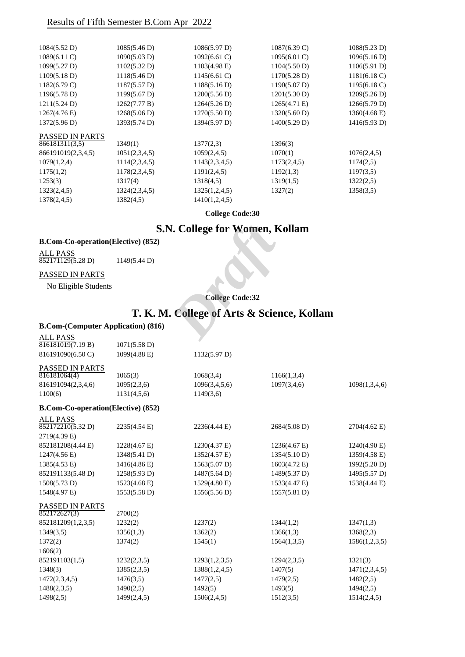| 1084(5.52 D)           | 1085(5.46 D)           | 1086(5.97 D)    | $1087(6.39 \text{ C})$ | 1088(5.23 D)           |
|------------------------|------------------------|-----------------|------------------------|------------------------|
| $1089(6.11)$ C)        | 1090(5.03 D)           | $1092(6.61)$ C) | $1095(6.01 \text{ C})$ | 1096(5.16 D)           |
| 1099(5.27 D)           | 1102(5.32 D)           | $1103(4.98)$ E) | 1104(5.50 D)           | 1106(5.91 D)           |
| 1109(5.18 D)           | 1118(5.46 D)           | $1145(6.61)$ C) | 1170(5.28 D)           | $1181(6.18)$ C)        |
| $1182(6.79 \text{ C})$ | 1187(5.57 D)           | 1188(5.16 D)    | 1190(5.07 D)           | $1195(6.18 \text{ C})$ |
| 1196(5.78 D)           | $1199(5.67 \text{ D})$ | 1200(5.56 D)    | 1201(5.30 D)           | 1209(5.26 D)           |
| 1211(5.24 D)           | 1262(7.77 B)           | 1264(5.26 D)    | $1265(4.71)$ E)        | 1266(5.79 D)           |
| $1267(4.76 \text{ E})$ | 1268(5.06 D)           | 1270(5.50 D)    | 1320(5.60 D)           | 1360(4.68)             |
| 1372(5.96 D)           | 1393(5.74 D)           | 1394(5.97 D)    | 1400(5.29 D)           | 1416(5.93 D)           |
| <b>PASSED IN PARTS</b> |                        |                 |                        |                        |
| 866181311(3,5)         | 1349(1)                | 1377(2,3)       | 1396(3)                |                        |
| 866191019(2,3,4,5)     | 1051(2,3,4,5)          | 1059(2,4,5)     | 1070(1)                | 1076(2,4,5)            |
| 1079(1,2,4)            | 1114(2,3,4,5)          | 1143(2,3,4,5)   | 1173(2,4,5)            | 1174(2,5)              |
| 1175(1,2)              | 1178(2,3,4,5)          | 1191(2,4,5)     | 1192(1,3)              | 1197(3,5)              |
| 1253(3)                | 1317(4)                | 1318(4,5)       | 1319(1,5)              | 1322(2,5)              |
| 1323(2,4,5)            | 1324(2,3,4,5)          | 1325(1,2,4,5)   | 1327(2)                | 1358(3,5)              |
| 1378(2,4,5)            | 1382(4,5)              | 1410(1,2,4,5)   |                        |                        |
|                        |                        |                 |                        |                        |

**College Code:30**

## **S.N. College for Women, Kollam**

## **B.Com-Co-operation(Elective) (852)**

## PASSED IN PARTS

## **T. K. M. College of Arts & Science, Kollam**

|                                                 |                              | S.N. College for Women, Kollam |                                            |               |
|-------------------------------------------------|------------------------------|--------------------------------|--------------------------------------------|---------------|
| <b>B.Com-Co-operation(Elective) (852)</b>       |                              |                                |                                            |               |
| <b>ALL PASS</b>                                 |                              |                                |                                            |               |
| 852171129(5.28 D)                               | 1149(5.44 D)                 |                                |                                            |               |
| PASSED IN PARTS                                 |                              |                                |                                            |               |
| No Eligible Students                            |                              |                                |                                            |               |
|                                                 |                              | <b>College Code:32</b>         |                                            |               |
|                                                 |                              |                                |                                            |               |
|                                                 |                              |                                | T. K. M. College of Arts & Science, Kollam |               |
| <b>B.Com-(Computer Application) (816)</b>       |                              |                                |                                            |               |
| <b>ALL PASS</b>                                 |                              |                                |                                            |               |
| $\sqrt{816181019(7.19 B)}$<br>816191090(6.50 C) | 1071(5.58 D)<br>1099(4.88 E) | 1132(5.97 D)                   |                                            |               |
|                                                 |                              |                                |                                            |               |
| PASSED IN PARTS                                 |                              |                                |                                            |               |
| 816181064(4)                                    | 1065(3)                      | 1068(3,4)                      | 1166(1,3,4)                                |               |
| 816191094(2,3,4,6)                              | 1095(2,3,6)                  | 1096(3,4,5,6)                  | 1097(3,4,6)                                | 1098(1,3,4,6) |
| 1100(6)                                         | 1131(4,5,6)                  | 1149(3,6)                      |                                            |               |
| <b>B.Com-Co-operation(Elective) (852)</b>       |                              |                                |                                            |               |
| <b>ALL PASS</b>                                 |                              |                                |                                            |               |
| 852172210(5.32 D)                               | 2235(4.54 E)                 | 2236(4.44 E)                   | 2684(5.08 D)                               | 2704(4.62 E)  |
| 2719(4.39 E)                                    |                              |                                |                                            |               |
| 852181208(4.44 E)                               | 1228(4.67 E)                 | 1230(4.37 E)                   | $1236(4.67)$ E)                            | 1240(4.90 E)  |
| 1247(4.56 E)                                    | 1348(5.41 D)                 | 1352(4.57 E)                   | 1354(5.10 D)                               | 1359(4.58 E)  |
| 1385(4.53 E)                                    | 1416(4.86 E)                 | 1563(5.07 D)                   | 1603(4.72 E)                               | 1992(5.20 D)  |
| 852191133(5.48 D)                               | 1258(5.93 D)                 | 1487(5.64 D)                   | 1489(5.37 D)                               | 1495(5.57 D)  |
| 1508(5.73 D)                                    | 1523(4.68 E)                 | 1529(4.80 E)                   | 1533(4.47 E)                               | 1538(4.44 E)  |
| 1548(4.97 E)                                    | 1553(5.58 D)                 | 1556(5.56 D)                   | 1557(5.81 D)                               |               |
| PASSED IN PARTS                                 |                              |                                |                                            |               |
| 852172627(3)                                    | 2700(2)                      |                                |                                            |               |
| 852181209(1,2,3,5)                              | 1232(2)                      | 1237(2)                        | 1344(1,2)                                  | 1347(1,3)     |
| 1349(3,5)                                       | 1356(1,3)                    | 1362(2)                        | 1366(1,3)                                  | 1368(2,3)     |
| 1372(2)                                         | 1374(2)                      | 1545(1)                        | 1564(1,3,5)                                | 1586(1,2,3,5) |
| 1606(2)                                         |                              |                                |                                            |               |
| 852191103(1,5)                                  | 1232(2,3,5)                  | 1293(1,2,3,5)                  | 1294(2,3,5)                                | 1321(3)       |
| 1348(3)                                         | 1385(2,3,5)                  | 1388(1,2,4,5)                  | 1407(5)                                    | 1471(2,3,4,5) |
| 1472(2,3,4,5)                                   | 1476(3,5)                    | 1477(2,5)                      | 1479(2,5)                                  | 1482(2,5)     |
| 1488(2,3,5)                                     | 1490(2,5)                    | 1492(5)                        | 1493(5)                                    | 1494(2,5)     |
| 1498(2,5)                                       | 1499(2,4,5)                  | 1506(2,4,5)                    | 1512(3,5)                                  | 1514(2,4,5)   |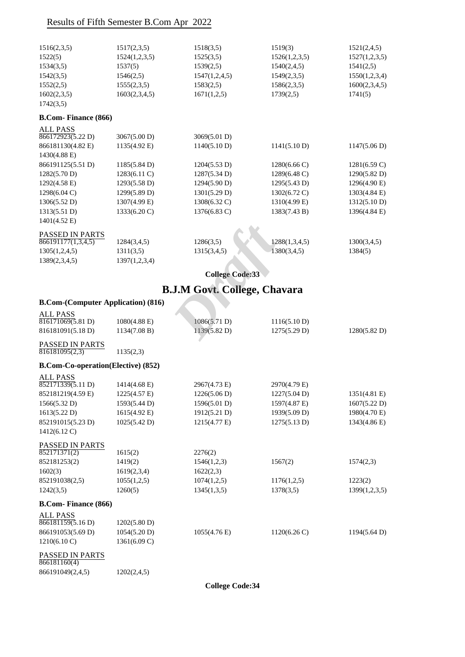| 1516(2,3,5) | 1517(2,3,5)   | 1518(3,5)     | 1519(3)       | 1521(2,4,5)   |
|-------------|---------------|---------------|---------------|---------------|
| 1522(5)     | 1524(1,2,3,5) | 1525(3,5)     | 1526(1,2,3,5) | 1527(1,2,3,5) |
| 1534(3,5)   | 1537(5)       | 1539(2,5)     | 1540(2,4,5)   | 1541(2,5)     |
| 1542(3,5)   | 1546(2,5)     | 1547(1,2,4,5) | 1549(2,3,5)   | 1550(1,2,3,4) |
| 1552(2,5)   | 1555(2,3,5)   | 1583(2,5)     | 1586(2,3,5)   | 1600(2,3,4,5) |
| 1602(2,3,5) | 1603(2,3,4,5) | 1671(1,2,5)   | 1739(2,5)     | 1741(5)       |
| 1742(3,5)   |               |               |               |               |

## **B.Com- Finance (866)**

| <b>ALL PASS</b>        |                        |              |                        |                        |
|------------------------|------------------------|--------------|------------------------|------------------------|
| 866172923(5.22 D)      | 3067(5.00 D)           | 3069(5.01 D) |                        |                        |
| 866181130(4.82 E)      | 1135(4.92 E)           | 1140(5.10 D) | 1141(5.10 D)           | 1147(5.06 D)           |
| $1430(4.88 \text{ E})$ |                        |              |                        |                        |
| 866191125(5.51 D)      | 1185(5.84 D)           | 1204(5.53 D) | $1280(6.66 \text{ C})$ | $1281(6.59 \text{ C})$ |
| 1282(5.70 D)           | $1283(6.11)$ C)        | 1287(5.34 D) | $1289(6.48 \text{ C})$ | 1290(5.82 D)           |
| $1292(4.58 \text{ E})$ | 1293(5.58 D)           | 1294(5.90 D) | 1295(5.43 D)           | 1296(4.90 E)           |
| $1298(6.04 \text{ C})$ | 1299(5.89 D)           | 1301(5.29 D) | $1302(6.72 \text{ C})$ | 1303(4.84 E)           |
| 1306(5.52 D)           | 1307(4.99 E)           | 1308(6.32 C) | 1310(4.99 E)           | 1312(5.10 D)           |
| 1313(5.51 D)           | $1333(6.20 \text{ C})$ | 1376(6.83 C) | 1383(7.43 B)           | 1396(4.84 E)           |
| $1401(4.52 \text{ E})$ |                        |              |                        |                        |
| <b>PASSED IN PARTS</b> |                        |              |                        |                        |
| 866191177(1,3,4,5)     | 1284(3,4,5)            | 1286(3,5)    | 1288(1,3,4,5)          | 1300(3,4,5)            |
| 1305(1,2,4,5)          | 1311(3,5)              | 1315(3,4,5)  | 1380(3,4,5)            | 1384(5)                |
| 1389(2,3,4,5)          | 1397(1,2,3,4)          |              |                        |                        |

## **B.J.M Govt. College, Chavara**

## **B.Com-(Computer Application) (816)**

| PASSED IN PARTS                           |               |                                     |                        |                        |
|-------------------------------------------|---------------|-------------------------------------|------------------------|------------------------|
| 866191177(1,3,4,5)                        | 1284(3,4,5)   | 1286(3,5)                           | 1288(1,3,4,5)          | 1300(3,4,5)            |
| 1305(1,2,4,5)                             | 1311(3,5)     | 1315(3,4,5)                         | 1380(3,4,5)            | 1384(5)                |
| 1389(2,3,4,5)                             | 1397(1,2,3,4) |                                     |                        |                        |
|                                           |               | <b>College Code:33</b>              |                        |                        |
|                                           |               | <b>B.J.M Govt. College, Chavara</b> |                        |                        |
| <b>B.Com-(Computer Application) (816)</b> |               |                                     |                        |                        |
| <b>ALL PASS</b>                           |               |                                     |                        |                        |
| 816171069(5.81 D)                         | 1080(4.88 E)  | 1086(5.71 D)                        | 1116(5.10 D)           |                        |
| 816181091(5.18D)                          | 1134(7.08 B)  | 1139(5.82 D)                        | 1275(5.29 D)           | 1280(5.82 D)           |
| PASSED IN PARTS                           |               |                                     |                        |                        |
| 816181095(2,3)                            | 1135(2,3)     |                                     |                        |                        |
| <b>B.Com-Co-operation(Elective) (852)</b> |               |                                     |                        |                        |
| <b>ALL PASS</b>                           |               |                                     |                        |                        |
| 852171339(5.11 D)                         | 1414(4.68 E)  | 2967(4.73 E)                        | 2970(4.79 E)           |                        |
| 852181219(4.59 E)                         | 1225(4.57 E)  | 1226(5.06 D)                        | $1227(5.04 \text{ D})$ | $1351(4.81 \text{ E})$ |
| 1566(5.32 D)                              | 1593(5.44 D)  | 1596(5.01 D)                        | 1597(4.87 E)           | 1607(5.22 D)           |
| 1613(5.22 D)                              | 1615(4.92 E)  | 1912(5.21 D)                        | 1939(5.09 D)           | 1980(4.70 E)           |
| 852191015(5.23 D)                         | 1025(5.42 D)  | 1215(4.77 E)                        | 1275(5.13 D)           | 1343(4.86 E)           |
| 1412(6.12 C)                              |               |                                     |                        |                        |
| <b>PASSED IN PARTS</b>                    |               |                                     |                        |                        |
| 852171371(2)                              | 1615(2)       | 2276(2)                             |                        |                        |
| 852181253(2)                              | 1419(2)       | 1546(1,2,3)                         | 1567(2)                | 1574(2,3)              |
| 1602(3)                                   | 1619(2,3,4)   | 1622(2,3)                           |                        |                        |
| 852191038(2,5)                            | 1055(1,2,5)   | 1074(1,2,5)                         | 1176(1,2,5)            | 1223(2)                |
| 1242(3,5)                                 | 1260(5)       | 1345(1,3,5)                         | 1378(3,5)              | 1399(1,2,3,5)          |
| <b>B.Com-Finance (866)</b>                |               |                                     |                        |                        |
| <b>ALL PASS</b>                           |               |                                     |                        |                        |
| 866181159(5.16 D)                         | 1202(5.80 D)  |                                     |                        |                        |
| 866191053(5.69 D)                         | 1054(5.20 D)  | $1055(4.76 \text{ E})$              | $1120(6.26 \text{ C})$ | $1194(5.64 \text{ D})$ |
| 1210(6.10 C)                              | 1361(6.09 C)  |                                     |                        |                        |
| PASSED IN PARTS                           |               |                                     |                        |                        |

## 866181160(4)

866191049(2,4,5) 1202(2,4,5)

**College Code:34**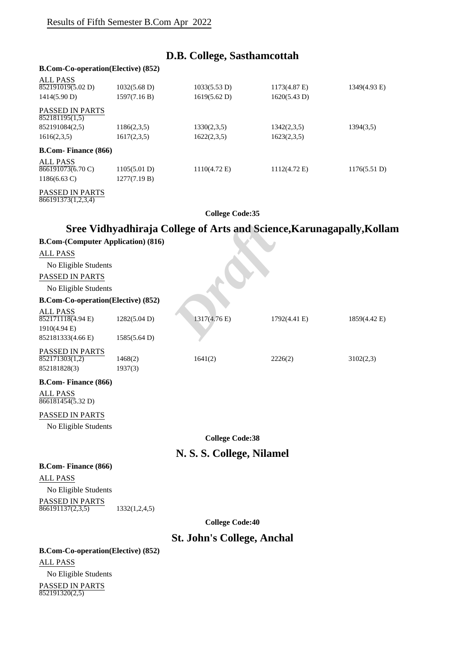## **D.B. College, Sasthamcottah**

## **B.Com-Co-operation(Elective) (852)**

| <b>ALL PASS</b>                          |                        |                        |              |              |
|------------------------------------------|------------------------|------------------------|--------------|--------------|
| 852191019(5.02 D)                        | $1032(5.68 \text{ D})$ | 1033(5.53 D)           | 1173(4.87 E) | 1349(4.93 E) |
| 1414(5.90 D)                             | 1597(7.16 B)           | 1619(5.62 D)           | 1620(5.43 D) |              |
| <b>PASSED IN PARTS</b><br>852181195(1,5) |                        |                        |              |              |
| 852191084(2,5)                           | 1186(2,3,5)            | 1330(2,3,5)            | 1342(2,3,5)  | 1394(3,5)    |
| 1616(2,3,5)                              | 1617(2,3,5)            | 1622(2,3,5)            | 1623(2,3,5)  |              |
| <b>B.Com-Finance (866)</b>               |                        |                        |              |              |
| ALL PASS                                 |                        |                        |              |              |
| 866191073(6.70 C)                        | 1105(5.01 D)           | $1110(4.72 \text{ E})$ | 1112(4.72 E) | 1176(5.51 D) |
| $1186(6.63 \text{ C})$                   | 1277(7.19 B)           |                        |              |              |
|                                          |                        |                        |              |              |

PASSED IN PARTS 866191373(1,2,3,4)

**College Code:35**

## **Sree Vidhyadhiraja College of Arts and Science,Karunagapally,Kollam**

|                                           |                                                    | Sree Vidhyadhiraja College of Arts and Science, Karunagapally, Kolla |              |              |
|-------------------------------------------|----------------------------------------------------|----------------------------------------------------------------------|--------------|--------------|
| <b>B.Com-(Computer Application) (816)</b> |                                                    |                                                                      |              |              |
| <b>ALL PASS</b>                           |                                                    |                                                                      |              |              |
| No Eligible Students                      |                                                    |                                                                      |              |              |
| PASSED IN PARTS                           |                                                    |                                                                      |              |              |
| No Eligible Students                      |                                                    |                                                                      |              |              |
| <b>B.Com-Co-operation(Elective) (852)</b> |                                                    |                                                                      |              |              |
| <b>ALL PASS</b>                           |                                                    |                                                                      |              |              |
| 852171118(4.94 E)                         | 1282(5.04 D)                                       | 1317(4.76 E)                                                         | 1792(4.41 E) | 1859(4.42 E) |
| 1910(4.94 E)<br>852181333(4.66 E)         | 1585(5.64 D)                                       |                                                                      |              |              |
|                                           |                                                    |                                                                      |              |              |
| PASSED IN PARTS<br>852171303(1,2)         | 1468(2)                                            | 1641(2)                                                              | 2226(2)      | 3102(2,3)    |
| 852181828(3)                              | 1937(3)                                            |                                                                      |              |              |
| <b>B.Com-Finance (866)</b>                |                                                    |                                                                      |              |              |
| <b>ALL PASS</b><br>866181454(5.32 D)      |                                                    |                                                                      |              |              |
| PASSED IN PARTS                           |                                                    |                                                                      |              |              |
| No Eligible Students                      |                                                    |                                                                      |              |              |
|                                           |                                                    | <b>College Code:38</b>                                               |              |              |
|                                           |                                                    | N. S. S. College, Nilamel                                            |              |              |
| <b>B.Com-Finance (866)</b>                |                                                    |                                                                      |              |              |
| <b>ALL PASS</b>                           |                                                    |                                                                      |              |              |
| No Eligible Students                      |                                                    |                                                                      |              |              |
| PASSED IN PARTS<br>866191137(2,3,5)       | 1332(1,2,4,5)                                      |                                                                      |              |              |
|                                           |                                                    | <b>College Code:40</b>                                               |              |              |
|                                           |                                                    | <b>St. John's College, Anchal</b>                                    |              |              |
| $\mathbf{D}$ $\mathbf{C}$ <sub>27</sub>   | $\alpha$ $\alpha$ anomatic $\Gamma$ leative) (852) |                                                                      |              |              |

**B.Com-Co-operation(Elective) (852)** ALL PASS No Eligible Students PASSED IN PARTS 852191320(2,5)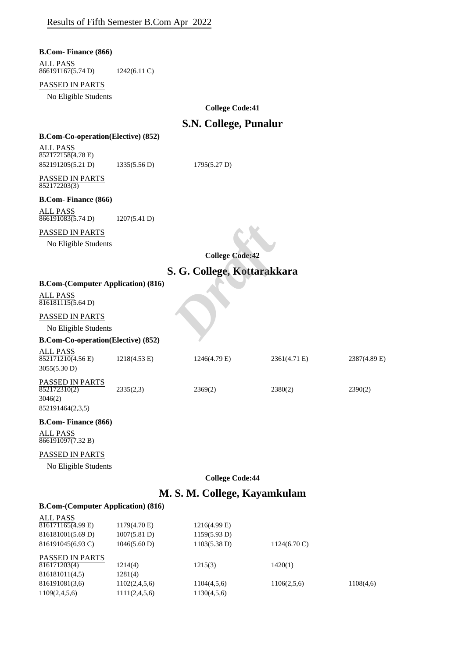**B.Com- Finance (866)**

#### ALL PASS 866191167(5.74 D) 1242(6.11 C)

### PASSED IN PARTS

No Eligible Students

**College Code:41**

## **S.N. College, Punalur**

## **B.Com-Co-operation(Elective) (852)**

ALL PASS 852172158(4.78 E) 852191205(5.21 D) 1335(5.56 D) 1795(5.27 D)

PASSED IN PARTS 852172203(3)

#### **B.Com- Finance (866)**

| <b>ALL PASS</b>   |              |
|-------------------|--------------|
| 866191083(5.74 D) | 1207(5.41 D) |

## PASSED IN PARTS

No Eligible Students

**College Code:42**

# **S. G. College, Kottarakkara** *College Code:42*<br> **S. G. College, Kottarakk**

## **B.Com-(Computer Application) (816)**

ALL PASS  $\frac{1}{816181115(5.64 \text{ D})}$ 

#### PASSED IN PARTS

No Eligible Students

#### **B.Com-Co-operation(Elective) (852)**

| ALL PASS<br>852171210(4.56 E)<br>3055(5.30 D) | $1218(4.53 \text{ E})$ | $1246(4.79)$ E) | 2361(4.71 E) | 2387(4.89 E) |
|-----------------------------------------------|------------------------|-----------------|--------------|--------------|
| <b>PASSED IN PARTS</b><br>852172310(2)        | 2335(2,3)              | 2369(2)         | 2380(2)      | 2390(2)      |
| 3046(2)                                       |                        |                 |              |              |
| 852191464(2,3,5)                              |                        |                 |              |              |

## **B.Com- Finance (866)**

ALL PASS 866191097(7.32 B)

#### PASSED IN PARTS

No Eligible Students

**College Code:44**

## **M. S. M. College, Kayamkulam**

| ALL PASS               |                        |              |                        |           |
|------------------------|------------------------|--------------|------------------------|-----------|
| 816171165(4.99 E)      | $1179(4.70 \text{ E})$ | 1216(4.99 E) |                        |           |
| 816181001(5.69 D)      | 1007(5.81 D)           | 1159(5.93 D) |                        |           |
| 816191045(6.93 C)      | 1046(5.60 D)           | 1103(5.38 D) | $1124(6.70 \text{ C})$ |           |
| <b>PASSED IN PARTS</b> |                        |              |                        |           |
| 816171203(4)           | 1214(4)                | 1215(3)      | 1420(1)                |           |
| 816181011(4,5)         | 1281(4)                |              |                        |           |
| 816191081(3,6)         | 1102(2,4,5,6)          | 1104(4,5,6)  | 1106(2,5,6)            | 1108(4,6) |
| 1109(2,4,5,6)          | 1111(2,4,5,6)          | 1130(4,5,6)  |                        |           |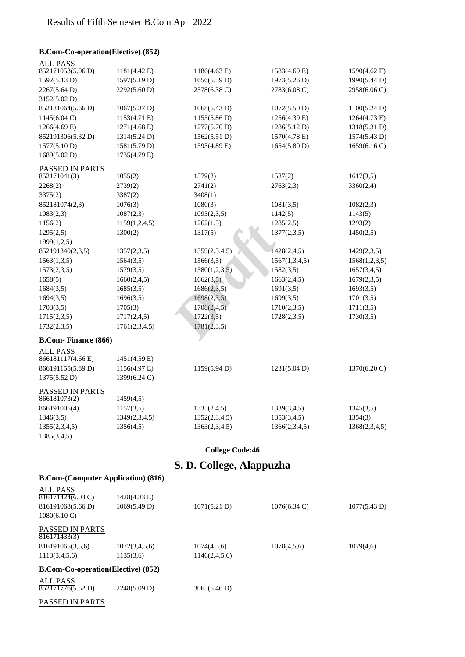## **B.Com-Co-operation(Elective) (852)**

| <b>ALL PASS</b><br>852171053(5.06 D) | 1181(4.42 E)           | 1186(4.63 E)  | 1583(4.69 E)  | 1590(4.62 E)  |
|--------------------------------------|------------------------|---------------|---------------|---------------|
|                                      | 1597(5.19 D)           | 1656(5.59 D)  | 1973(5.26 D)  | 1990(5.44 D)  |
| 1592(5.13 D)                         |                        |               |               |               |
| 2267(5.64 D)                         | 2292(5.60 D)           | 2578(6.38 C)  | 2783(6.08 C)  | 2958(6.06 C)  |
| 3152(5.02 D)                         |                        |               |               |               |
| 852181064(5.66 D)                    | 1067(5.87 D)           | 1068(5.43 D)  | 1072(5.50 D)  | 1100(5.24 D)  |
| $1145(6.04 \text{ C})$               | 1153(4.71 E)           | 1155(5.86 D)  | 1256(4.39 E)  | 1264(4.73 E)  |
| $1266(4.69 \text{ E})$               | 1271(4.68 E)           | 1277(5.70 D)  | 1286(5.12 D)  | 1318(5.31 D)  |
| 852191306(5.32 D)                    | 1314(5.24 D)           | 1562(5.51 D)  | 1570(4.78 E)  | 1574(5.43 D)  |
| 1577(5.10 D)                         | 1581(5.79 D)           | 1593(4.89 E)  | 1654(5.80 D)  | 1659(6.16 C)  |
| 1689(5.02 D)                         | 1735(4.79 E)           |               |               |               |
| PASSED IN PARTS                      |                        |               |               |               |
| 852171041(3)                         | 1055(2)                | 1579(2)       | 1587(2)       | 1617(3,5)     |
| 2268(2)                              | 2739(2)                | 2741(2)       | 2763(2,3)     | 3360(2,4)     |
| 3375(2)                              | 3387(2)                | 3408(1)       |               |               |
| 852181074(2,3)                       | 1076(3)                | 1080(3)       | 1081(3,5)     | 1082(2,3)     |
| 1083(2,3)                            | 1087(2,3)              | 1093(2,3,5)   | 1142(5)       | 1143(5)       |
| 1156(2)                              | 1159(1,2,4,5)          | 1262(1,5)     | 1285(2,5)     | 1293(2)       |
| 1295(2,5)                            | 1300(2)                | 1317(5)       | 1377(2,3,5)   | 1450(2,5)     |
| 1999(1,2,5)                          |                        |               |               |               |
| 852191340(2,3,5)                     | 1357(2,3,5)            | 1359(2,3,4,5) | 1428(2,4,5)   | 1429(2,3,5)   |
| 1563(1,3,5)                          | 1564(3,5)              | 1566(3,5)     | 1567(1,3,4,5) | 1568(1,2,3,5) |
| 1573(2,3,5)                          | 1579(3,5)              | 1580(1,2,3,5) | 1582(3,5)     | 1657(3,4,5)   |
| 1658(5)                              | 1660(2,4,5)            | 1662(3,5)     | 1663(2,4,5)   | 1679(2,3,5)   |
| 1684(3,5)                            | 1685(3,5)              | 1686(2,3,5)   | 1691(3,5)     | 1693(3,5)     |
| 1694(3,5)                            | 1696(3,5)              | 1698(2,3,5)   | 1699(3,5)     | 1701(3,5)     |
| 1703(3,5)                            | 1705(3)                | 1708(2,4,5)   | 1710(2,3,5)   | 1711(3,5)     |
| 1715(2,3,5)                          | 1717(2,4,5)            | 1722(3,5)     | 1728(2,3,5)   | 1730(3,5)     |
| 1732(2,3,5)                          | 1761(2,3,4,5)          | 1781(2,3,5)   |               |               |
| <b>B.Com-Finance (866)</b>           |                        |               |               |               |
| <b>ALL PASS</b>                      |                        |               |               |               |
| 866181117(4.66)                      | $1451(4.59 \text{ E})$ |               |               |               |
| 866191155(5.89 D)                    | 1156(4.97 E)           | 1159(5.94 D)  | 1231(5.04 D)  | 1370(6.20 C)  |
| 1375(5.52 D)                         | 1399(6.24 C)           |               |               |               |
| PASSED IN PARTS                      |                        |               |               |               |
| 866181073(2)                         | 1459(4,5)              |               |               |               |
| 866191005(4)                         | 1157(3,5)              | 1335(2,4,5)   | 1339(3,4,5)   | 1345(3,5)     |
| 1346(3,5)                            | 1349(2,3,4,5)          | 1352(2,3,4,5) | 1353(3,4,5)   | 1354(3)       |
| 1355(2,3,4,5)                        | 1356(4,5)              | 1363(2,3,4,5) | 1366(2,3,4,5) | 1368(2,3,4,5) |
| 1385(3,4,5)                          |                        |               |               |               |
|                                      |                        |               |               |               |

## **College Code:46**

## **S. D. College, Alappuzha**

**B.Com-(Computer Application) (816)**

| ALL PASS<br>816171424(6.03 C)             | 1428(4.83 E)  |               |                 |              |
|-------------------------------------------|---------------|---------------|-----------------|--------------|
| 816191068(5.66 D)                         | 1069(5.49 D)  | 1071(5.21 D)  | $1076(6.34)$ C) | 1077(5.43 D) |
| $1080(6.10 \text{ C})$                    |               |               |                 |              |
| <b>PASSED IN PARTS</b><br>816171433(3)    |               |               |                 |              |
| 816191065(3,5,6)                          | 1072(3,4,5,6) | 1074(4,5,6)   | 1078(4,5,6)     | 1079(4,6)    |
| 1113(3,4,5,6)                             | 1135(3,6)     | 1146(2,4,5,6) |                 |              |
| <b>B.Com-Co-operation(Elective) (852)</b> |               |               |                 |              |
| ALL PASS<br>852171776(5.52 D)             | 2248(5.09 D)  | 3065(5.46 D)  |                 |              |

PASSED IN PARTS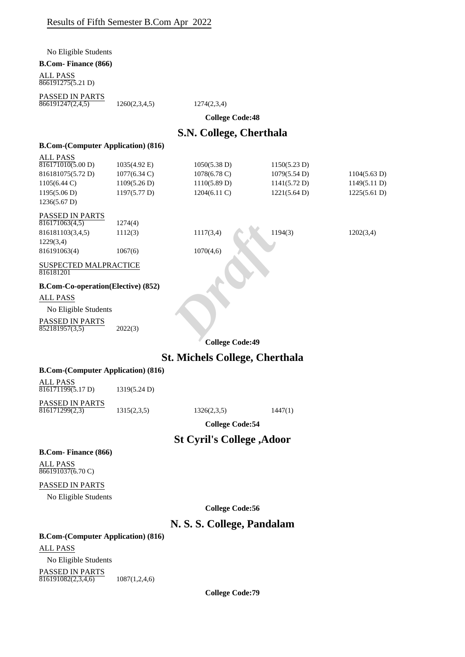No Eligible Students

### **B.Com- Finance (866)**

ALL PASS 866191275(5.21 D)

PASSED IN PARTS  $866191247(2,4,5)$  1260(2,3,4,5) 1274(2,3,4)

**College Code:48**

## **S.N. College, Cherthala**

| <b>B.Com-(Computer Application) (816)</b>                                                                           |                                                                        |                                                                 |                                                              |                                              |
|---------------------------------------------------------------------------------------------------------------------|------------------------------------------------------------------------|-----------------------------------------------------------------|--------------------------------------------------------------|----------------------------------------------|
| <b>ALL PASS</b><br>816171010(5.00 D)<br>816181075(5.72 D)<br>$1105(6.44 \text{ C})$<br>1195(5.06 D)<br>1236(5.67 D) | 1035(4.92 E)<br>$1077(6.34 \text{ C})$<br>1109(5.26 D)<br>1197(5.77 D) | 1050(5.38 D)<br>1078(6.78 C)<br>1110(5.89 D)<br>$1204(6.11)$ C) | 1150(5.23 D)<br>1079(5.54 D)<br>1141(5.72 D)<br>1221(5.64 D) | 1104(5.63 D)<br>1149(5.11 D)<br>1225(5.61 D) |
| PASSED IN PARTS<br>816171063(4,5)<br>816181103(3,4,5)<br>1229(3,4)<br>816191063(4)                                  | 1274(4)<br>1112(3)<br>1067(6)                                          | 1117(3,4)<br>1070(4,6)                                          | 1194(3)                                                      | 1202(3,4)                                    |
| SUSPECTED MALPRACTICE<br>816181201                                                                                  |                                                                        |                                                                 |                                                              |                                              |
| <b>B.Com-Co-operation(Elective) (852)</b>                                                                           |                                                                        |                                                                 |                                                              |                                              |
| <b>ALL PASS</b>                                                                                                     |                                                                        |                                                                 |                                                              |                                              |
| No Eligible Students                                                                                                |                                                                        |                                                                 |                                                              |                                              |
| PASSED IN PARTS<br>852181957(3.5)                                                                                   | 2022(3)                                                                |                                                                 |                                                              |                                              |
|                                                                                                                     |                                                                        | <b>College Code:49</b>                                          |                                                              |                                              |
|                                                                                                                     |                                                                        | <b>St. Michels College, Cherthala</b>                           |                                                              |                                              |
| <b>B.Com-(Computer Application) (816)</b>                                                                           |                                                                        |                                                                 |                                                              |                                              |
| <b>ALL PASS</b><br>$\sqrt{816171199(5.17)}$ D)                                                                      | 1319(5.24 D)                                                           |                                                                 |                                                              |                                              |
| PASSED IN PARTS<br>816171299(2,3)                                                                                   | 1315(2,3,5)                                                            | 1326(2,3,5)                                                     | 1447(1)                                                      |                                              |
|                                                                                                                     |                                                                        | <b>College Code:54</b>                                          |                                                              |                                              |
|                                                                                                                     |                                                                        | <b>St Cyril's College , Adoor</b>                               |                                                              |                                              |
| <b>B.Com-Finance (866)</b>                                                                                          |                                                                        |                                                                 |                                                              |                                              |
| <b>ALL PASS</b><br>866191037(6.70 C)                                                                                |                                                                        |                                                                 |                                                              |                                              |
| PASSED IN PARTS                                                                                                     |                                                                        |                                                                 |                                                              |                                              |
| No Eligible Students                                                                                                |                                                                        |                                                                 |                                                              |                                              |
|                                                                                                                     |                                                                        | <b>College Code:56</b>                                          |                                                              |                                              |
|                                                                                                                     |                                                                        | N. S. S. College, Pandalam                                      |                                                              |                                              |

**B.Com-(Computer Application) (816)**

ALL PASS

No Eligible Students PASSED IN PARTS  $\overline{816191082(2,3,4,6)}$  1087(1,2,4,6)

**College Code:79**